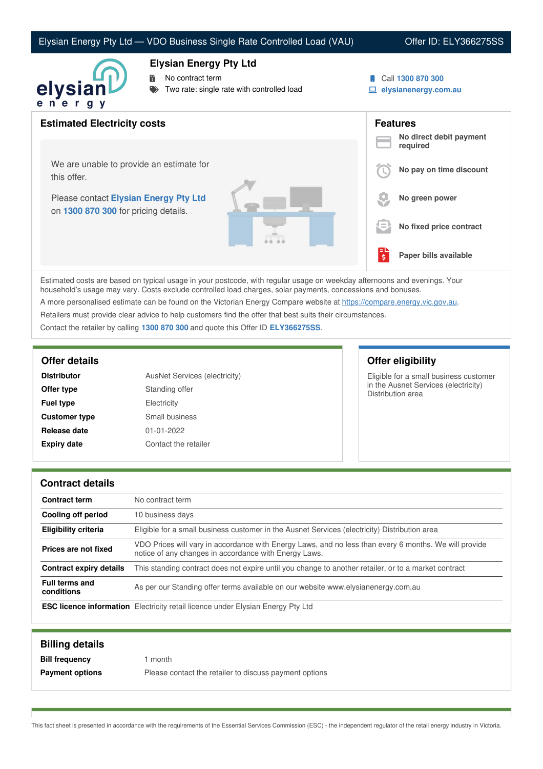## Elysian Energy Pty Ltd — VDO Business Single Rate Controlled Load (VAU) Offer ID: ELY366275SS



## **Elysian Energy Pty Ltd**

No contract term

- Two rate: single rate with controlled load
- Call **1300 870 300**
- **elysianenergy.com.au**

| <b>Estimated Electricity costs</b>                                            | <b>Features</b><br>No direct debit payment |
|-------------------------------------------------------------------------------|--------------------------------------------|
|                                                                               | required                                   |
| We are unable to provide an estimate for<br>this offer.                       | No pay on time discount                    |
| Please contact Elysian Energy Pty Ltd<br>on 1300 870 300 for pricing details. | No green power                             |
|                                                                               | No fixed price contract<br>l =             |
|                                                                               | Paper bills available<br>\$                |

Estimated costs are based on typical usage in your postcode, with regular usage on weekday afternoons and evenings. Your household's usage may vary. Costs exclude controlled load charges, solar payments, concessions and bonuses.

A more personalised estimate can be found on the Victorian Energy Compare website at <https://compare.energy.vic.gov.au>.

Retailers must provide clear advice to help customers find the offer that best suits their circumstances.

Contact the retailer by calling **1300 870 300** and quote this Offer ID **ELY366275SS**.

| <b>Distributor</b>   | AusNet Services (electricity) |
|----------------------|-------------------------------|
| Offer type           | Standing offer                |
| <b>Fuel type</b>     | Electricity                   |
| <b>Customer type</b> | Small business                |
| Release date         | $01 - 01 - 2022$              |
| <b>Expiry date</b>   | Contact the retailer          |

**Offer details Offer eligibility**

Eligible for a small business customer in the Ausnet Services (electricity) Distribution area

### **Contract details**

| <b>Contract term</b>                | No contract term                                                                                                                                               |
|-------------------------------------|----------------------------------------------------------------------------------------------------------------------------------------------------------------|
| Cooling off period                  | 10 business days                                                                                                                                               |
| <b>Eligibility criteria</b>         | Eligible for a small business customer in the Ausnet Services (electricity) Distribution area                                                                  |
| Prices are not fixed                | VDO Prices will vary in accordance with Energy Laws, and no less than every 6 months. We will provide<br>notice of any changes in accordance with Energy Laws. |
| Contract expiry details             | This standing contract does not expire until you change to another retailer, or to a market contract                                                           |
| <b>Full terms and</b><br>conditions | As per our Standing offer terms available on our website www.elysianenergy.com.au                                                                              |
|                                     | <b>ESC licence information</b> Electricity retail licence under Elysian Energy Pty Ltd                                                                         |

| <b>Billing details</b> |                                                        |
|------------------------|--------------------------------------------------------|
| <b>Bill frequency</b>  | month                                                  |
| <b>Payment options</b> | Please contact the retailer to discuss payment options |